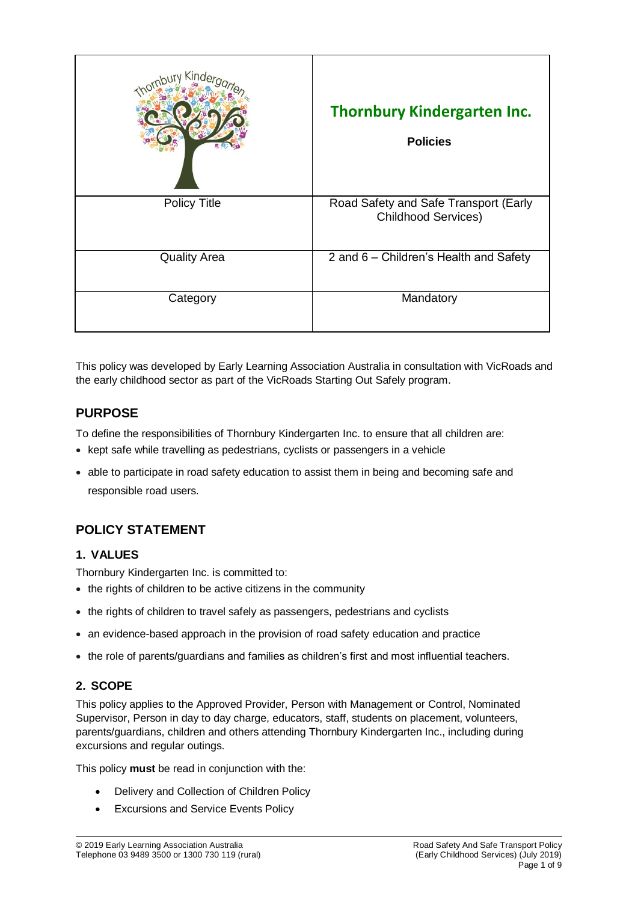| Kinde               | <b>Thornbury Kindergarten Inc.</b><br><b>Policies</b>               |
|---------------------|---------------------------------------------------------------------|
| <b>Policy Title</b> | Road Safety and Safe Transport (Early<br><b>Childhood Services)</b> |
| <b>Quality Area</b> | 2 and 6 – Children's Health and Safety                              |
| Category            | Mandatory                                                           |

This policy was developed by Early Learning Association Australia in consultation with VicRoads and the early childhood sector as part of the VicRoads Starting Out Safely program.

# **PURPOSE**

To define the responsibilities of Thornbury Kindergarten Inc. to ensure that all children are:

- kept safe while travelling as pedestrians, cyclists or passengers in a vehicle
- able to participate in road safety education to assist them in being and becoming safe and responsible road users.

# **POLICY STATEMENT**

## **1. VALUES**

Thornbury Kindergarten Inc. is committed to:

- the rights of children to be active citizens in the community
- the rights of children to travel safely as passengers, pedestrians and cyclists
- an evidence-based approach in the provision of road safety education and practice
- the role of parents/guardians and families as children's first and most influential teachers.

## **2. SCOPE**

This policy applies to the Approved Provider, Person with Management or Control, Nominated Supervisor, Person in day to day charge, educators, staff, students on placement, volunteers, parents/guardians, children and others attending Thornbury Kindergarten Inc., including during excursions and regular outings.

This policy **must** be read in conjunction with the:

- Delivery and Collection of Children Policy
- Excursions and Service Events Policy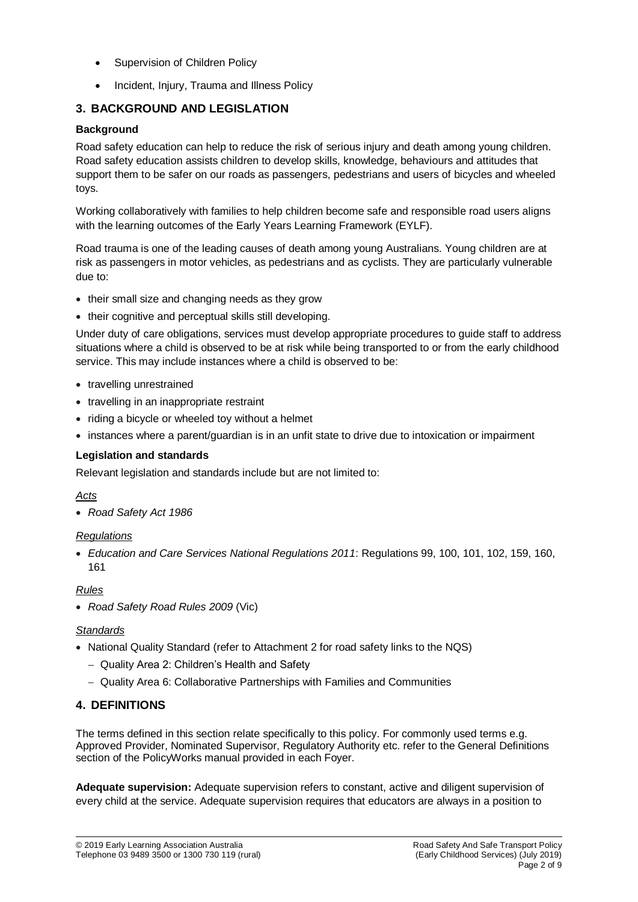- Supervision of Children Policy
- Incident, Injury, Trauma and Illness Policy

## **3. BACKGROUND AND LEGISLATION**

### **Background**

Road safety education can help to reduce the risk of serious injury and death among young children. Road safety education assists children to develop skills, knowledge, behaviours and attitudes that support them to be safer on our roads as passengers, pedestrians and users of bicycles and wheeled toys.

Working collaboratively with families to help children become safe and responsible road users aligns with the learning outcomes of the Early Years Learning Framework (EYLF).

Road trauma is one of the leading causes of death among young Australians. Young children are at risk as passengers in motor vehicles, as pedestrians and as cyclists. They are particularly vulnerable due to:

- their small size and changing needs as they grow
- their cognitive and perceptual skills still developing.

Under duty of care obligations, services must develop appropriate procedures to guide staff to address situations where a child is observed to be at risk while being transported to or from the early childhood service. This may include instances where a child is observed to be:

- travelling unrestrained
- travelling in an inappropriate restraint
- riding a bicycle or wheeled toy without a helmet
- instances where a parent/guardian is in an unfit state to drive due to intoxication or impairment

### **Legislation and standards**

Relevant legislation and standards include but are not limited to:

#### *Acts*

*Road Safety Act 1986*

### *Regulations*

 *Education and Care Services National Regulations 2011*: Regulations 99, 100, 101, 102, 159, 160, 161

### *Rules*

*Road Safety Road Rules 2009* (Vic)

#### *Standards*

- National Quality Standard (refer to Attachment 2 for road safety links to the NQS)
	- Quality Area 2: Children's Health and Safety
	- Quality Area 6: Collaborative Partnerships with Families and Communities

## **4. DEFINITIONS**

The terms defined in this section relate specifically to this policy. For commonly used terms e.g. Approved Provider, Nominated Supervisor, Regulatory Authority etc. refer to the General Definitions section of the PolicyWorks manual provided in each Foyer.

**Adequate supervision:** Adequate supervision refers to constant, active and diligent supervision of every child at the service. Adequate supervision requires that educators are always in a position to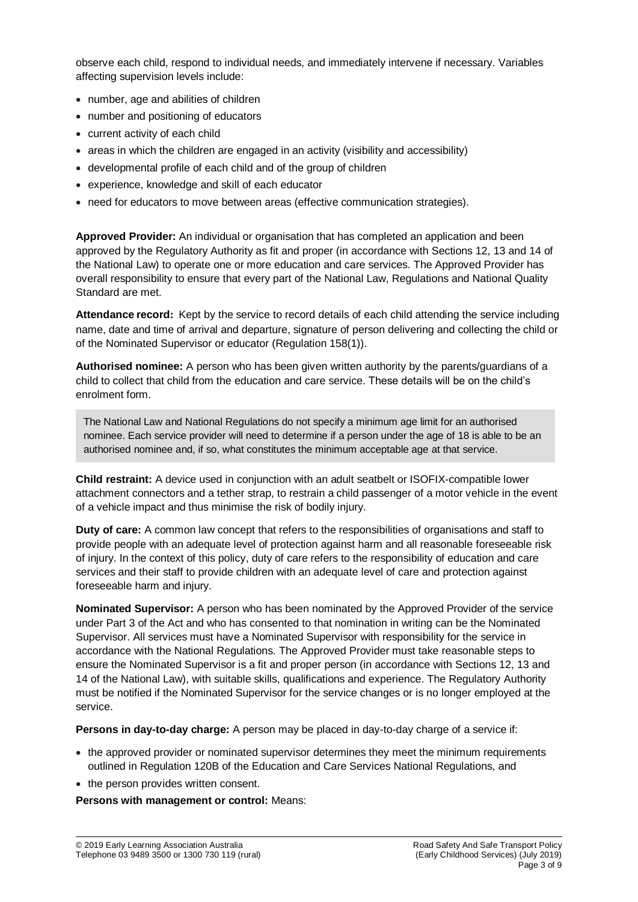observe each child, respond to individual needs, and immediately intervene if necessary. Variables affecting supervision levels include:

- number, age and abilities of children
- number and positioning of educators
- current activity of each child
- areas in which the children are engaged in an activity (visibility and accessibility)
- developmental profile of each child and of the group of children
- experience, knowledge and skill of each educator
- need for educators to move between areas (effective communication strategies).

**Approved Provider:** An individual or organisation that has completed an application and been approved by the Regulatory Authority as fit and proper (in accordance with Sections 12, 13 and 14 of the National Law) to operate one or more education and care services. The Approved Provider has overall responsibility to ensure that every part of the National Law, Regulations and National Quality Standard are met.

**Attendance record:** Kept by the service to record details of each child attending the service including name, date and time of arrival and departure, signature of person delivering and collecting the child or of the Nominated Supervisor or educator (Regulation 158(1)).

**Authorised nominee:** A person who has been given written authority by the parents/guardians of a child to collect that child from the education and care service. These details will be on the child's enrolment form.

The National Law and National Regulations do not specify a minimum age limit for an authorised nominee. Each service provider will need to determine if a person under the age of 18 is able to be an authorised nominee and, if so, what constitutes the minimum acceptable age at that service.

**Child restraint:** A device used in conjunction with an adult seatbelt or ISOFIX-compatible lower attachment connectors and a tether strap, to restrain a child passenger of a motor vehicle in the event of a vehicle impact and thus minimise the risk of bodily injury.

**Duty of care:** A common law concept that refers to the responsibilities of organisations and staff to provide people with an adequate level of protection against harm and all reasonable foreseeable risk of injury. In the context of this policy, duty of care refers to the responsibility of education and care services and their staff to provide children with an adequate level of care and protection against foreseeable harm and injury.

**Nominated Supervisor:** A person who has been nominated by the Approved Provider of the service under Part 3 of the Act and who has consented to that nomination in writing can be the Nominated Supervisor. All services must have a Nominated Supervisor with responsibility for the service in accordance with the National Regulations. The Approved Provider must take reasonable steps to ensure the Nominated Supervisor is a fit and proper person (in accordance with Sections 12, 13 and 14 of the National Law), with suitable skills, qualifications and experience. The Regulatory Authority must be notified if the Nominated Supervisor for the service changes or is no longer employed at the service.

**Persons in day-to-day charge:** A person may be placed in day-to-day charge of a service if:

- the approved provider or nominated supervisor determines they meet the minimum requirements outlined in Regulation 120B of the Education and Care Services National Regulations, and
- the person provides written consent.

**Persons with management or control:** Means: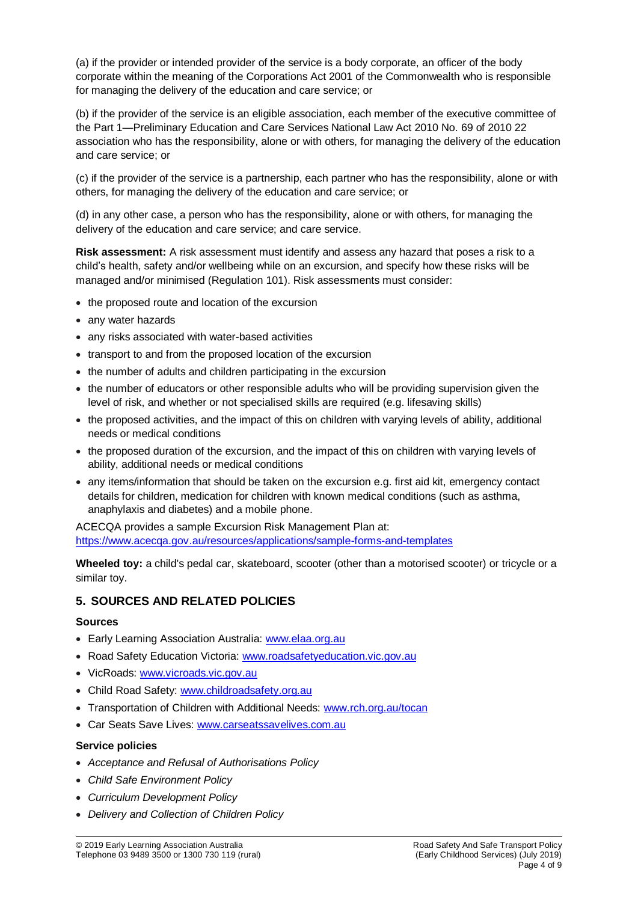(a) if the provider or intended provider of the service is a body corporate, an officer of the body corporate within the meaning of the Corporations Act 2001 of the Commonwealth who is responsible for managing the delivery of the education and care service; or

(b) if the provider of the service is an eligible association, each member of the executive committee of the Part 1—Preliminary Education and Care Services National Law Act 2010 No. 69 of 2010 22 association who has the responsibility, alone or with others, for managing the delivery of the education and care service; or

(c) if the provider of the service is a partnership, each partner who has the responsibility, alone or with others, for managing the delivery of the education and care service; or

(d) in any other case, a person who has the responsibility, alone or with others, for managing the delivery of the education and care service; and care service.

**Risk assessment:** A risk assessment must identify and assess any hazard that poses a risk to a child's health, safety and/or wellbeing while on an excursion, and specify how these risks will be managed and/or minimised (Regulation 101). Risk assessments must consider:

- the proposed route and location of the excursion
- any water hazards
- any risks associated with water-based activities
- transport to and from the proposed location of the excursion
- the number of adults and children participating in the excursion
- the number of educators or other responsible adults who will be providing supervision given the level of risk, and whether or not specialised skills are required (e.g. lifesaving skills)
- the proposed activities, and the impact of this on children with varying levels of ability, additional needs or medical conditions
- the proposed duration of the excursion, and the impact of this on children with varying levels of ability, additional needs or medical conditions
- any items/information that should be taken on the excursion e.g. first aid kit, emergency contact details for children, medication for children with known medical conditions (such as asthma, anaphylaxis and diabetes) and a mobile phone.

ACECQA provides a sample Excursion Risk Management Plan at: <https://www.acecqa.gov.au/resources/applications/sample-forms-and-templates>

**Wheeled toy:** a child's pedal car, skateboard, scooter (other than a motorised scooter) or tricycle or a similar toy.

## **5. SOURCES AND RELATED POLICIES**

#### **Sources**

- Early Learning Association Australia: [www.elaa.org.au](http://www.elaa.org.au/)
- Road Safety Education Victoria: [www.roadsafetyeducation.vic.gov.au](http://www.roadsafetyeducation.vic.gov.au/)
- VicRoads: [www.vicroads.vic.gov.au](http://www.vicroads.vic.gov.au/)
- Child Road Safety: [www.childroadsafety.org.au](http://www.childroadsafety.org.au/)
- Transportation of Children with Additional Needs: [www.rch.org.au/tocan](http://www.rch.org.au/tocan)
- Car Seats Save Lives: [www.carseatssavelives.com.au](http://www.carseatssavelives.com.au/)

### **Service policies**

- *Acceptance and Refusal of Authorisations Policy*
- *Child Safe Environment Policy*
- *Curriculum Development Policy*
- *Delivery and Collection of Children Policy*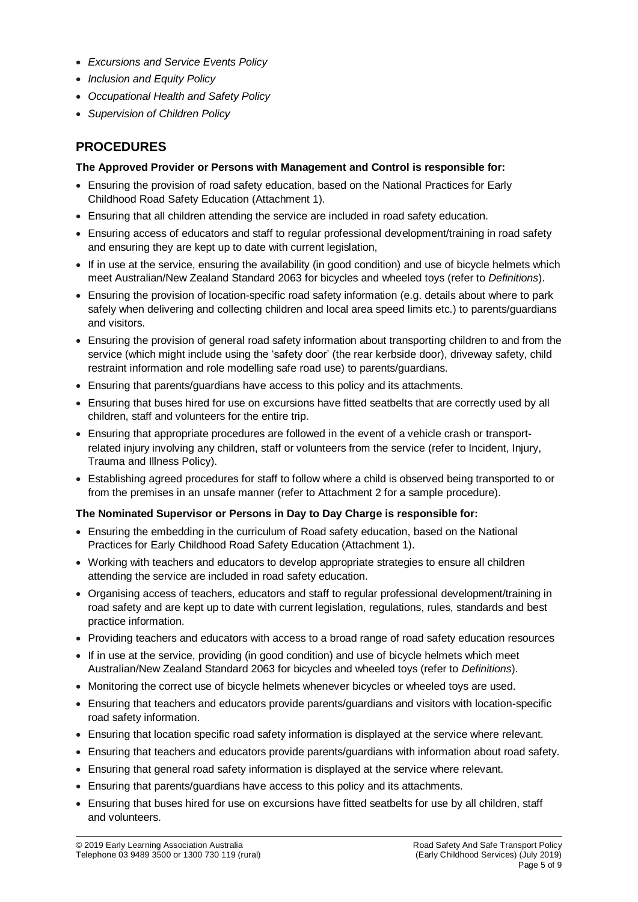- *Excursions and Service Events Policy*
- *Inclusion and Equity Policy*
- *Occupational Health and Safety Policy*
- *Supervision of Children Policy*

## **PROCEDURES**

### **The Approved Provider or Persons with Management and Control is responsible for:**

- Ensuring the provision of road safety education, based on the National Practices for Early Childhood Road Safety Education (Attachment 1).
- Ensuring that all children attending the service are included in road safety education.
- Ensuring access of educators and staff to regular professional development/training in road safety and ensuring they are kept up to date with current legislation,
- If in use at the service, ensuring the availability (in good condition) and use of bicycle helmets which meet Australian/New Zealand Standard 2063 for bicycles and wheeled toys (refer to *Definitions*).
- Ensuring the provision of location-specific road safety information (e.g. details about where to park safely when delivering and collecting children and local area speed limits etc.) to parents/guardians and visitors.
- Ensuring the provision of general road safety information about transporting children to and from the service (which might include using the 'safety door' (the rear kerbside door), driveway safety, child restraint information and role modelling safe road use) to parents/guardians.
- Ensuring that parents/guardians have access to this policy and its attachments.
- Ensuring that buses hired for use on excursions have fitted seatbelts that are correctly used by all children, staff and volunteers for the entire trip.
- Ensuring that appropriate procedures are followed in the event of a vehicle crash or transportrelated injury involving any children, staff or volunteers from the service (refer to Incident, Injury, Trauma and Illness Policy).
- Establishing agreed procedures for staff to follow where a child is observed being transported to or from the premises in an unsafe manner (refer to Attachment 2 for a sample procedure).

## **The Nominated Supervisor or Persons in Day to Day Charge is responsible for:**

- Ensuring the embedding in the curriculum of Road safety education, based on the National Practices for Early Childhood Road Safety Education (Attachment 1).
- Working with teachers and educators to develop appropriate strategies to ensure all children attending the service are included in road safety education.
- Organising access of teachers, educators and staff to regular professional development/training in road safety and are kept up to date with current legislation, regulations, rules, standards and best practice information.
- Providing teachers and educators with access to a broad range of road safety education resources
- If in use at the service, providing (in good condition) and use of bicycle helmets which meet Australian/New Zealand Standard 2063 for bicycles and wheeled toys (refer to *Definitions*).
- Monitoring the correct use of bicycle helmets whenever bicycles or wheeled toys are used.
- Ensuring that teachers and educators provide parents/guardians and visitors with location-specific road safety information.
- Ensuring that location specific road safety information is displayed at the service where relevant.
- Ensuring that teachers and educators provide parents/guardians with information about road safety.
- Ensuring that general road safety information is displayed at the service where relevant.
- Ensuring that parents/guardians have access to this policy and its attachments.
- Ensuring that buses hired for use on excursions have fitted seatbelts for use by all children, staff and volunteers.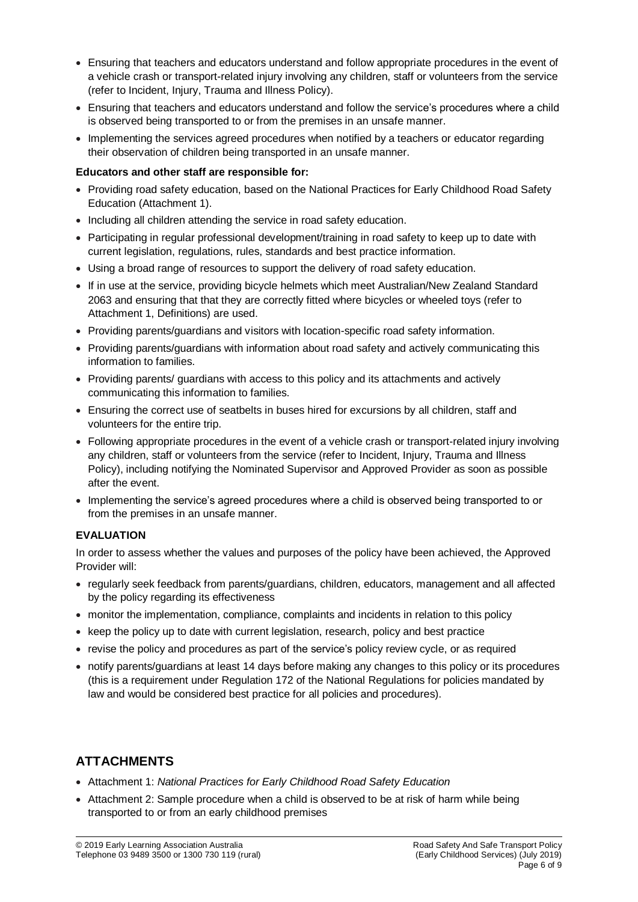- Ensuring that teachers and educators understand and follow appropriate procedures in the event of a vehicle crash or transport-related injury involving any children, staff or volunteers from the service (refer to Incident, Injury, Trauma and Illness Policy).
- Ensuring that teachers and educators understand and follow the service's procedures where a child is observed being transported to or from the premises in an unsafe manner.
- Implementing the services agreed procedures when notified by a teachers or educator regarding their observation of children being transported in an unsafe manner.

#### **Educators and other staff are responsible for:**

- Providing road safety education, based on the National Practices for Early Childhood Road Safety Education (Attachment 1).
- Including all children attending the service in road safety education.
- Participating in regular professional development/training in road safety to keep up to date with current legislation, regulations, rules, standards and best practice information.
- Using a broad range of resources to support the delivery of road safety education.
- If in use at the service, providing bicycle helmets which meet Australian/New Zealand Standard 2063 and ensuring that that they are correctly fitted where bicycles or wheeled toys (refer to Attachment 1, Definitions) are used.
- Providing parents/guardians and visitors with location-specific road safety information.
- Providing parents/guardians with information about road safety and actively communicating this information to families.
- Providing parents/ guardians with access to this policy and its attachments and actively communicating this information to families.
- Ensuring the correct use of seatbelts in buses hired for excursions by all children, staff and volunteers for the entire trip.
- Following appropriate procedures in the event of a vehicle crash or transport-related injury involving any children, staff or volunteers from the service (refer to Incident, Injury, Trauma and Illness Policy), including notifying the Nominated Supervisor and Approved Provider as soon as possible after the event.
- Implementing the service's agreed procedures where a child is observed being transported to or from the premises in an unsafe manner.

### **EVALUATION**

In order to assess whether the values and purposes of the policy have been achieved, the Approved Provider will:

- regularly seek feedback from parents/guardians, children, educators, management and all affected by the policy regarding its effectiveness
- monitor the implementation, compliance, complaints and incidents in relation to this policy
- keep the policy up to date with current legislation, research, policy and best practice
- revise the policy and procedures as part of the service's policy review cycle, or as required
- notify parents/guardians at least 14 days before making any changes to this policy or its procedures (this is a requirement under Regulation 172 of the National Regulations for policies mandated by law and would be considered best practice for all policies and procedures).

# **ATTACHMENTS**

- Attachment 1: *National Practices for Early Childhood Road Safety Education*
- Attachment 2: Sample procedure when a child is observed to be at risk of harm while being transported to or from an early childhood premises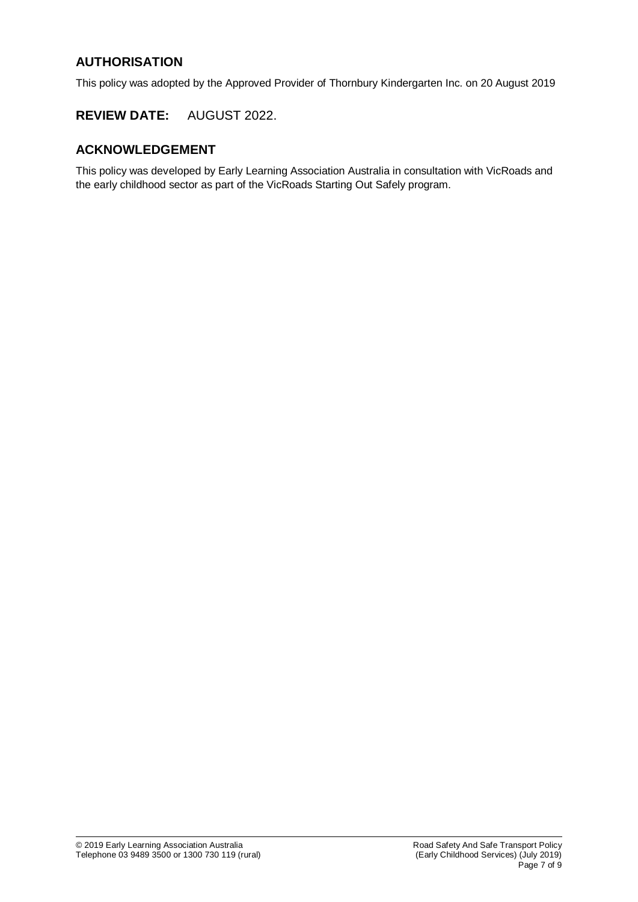# **AUTHORISATION**

This policy was adopted by the Approved Provider of Thornbury Kindergarten Inc. on 20 August 2019

## **REVIEW DATE:** AUGUST 2022.

# **ACKNOWLEDGEMENT**

This policy was developed by Early Learning Association Australia in consultation with VicRoads and the early childhood sector as part of the VicRoads Starting Out Safely program.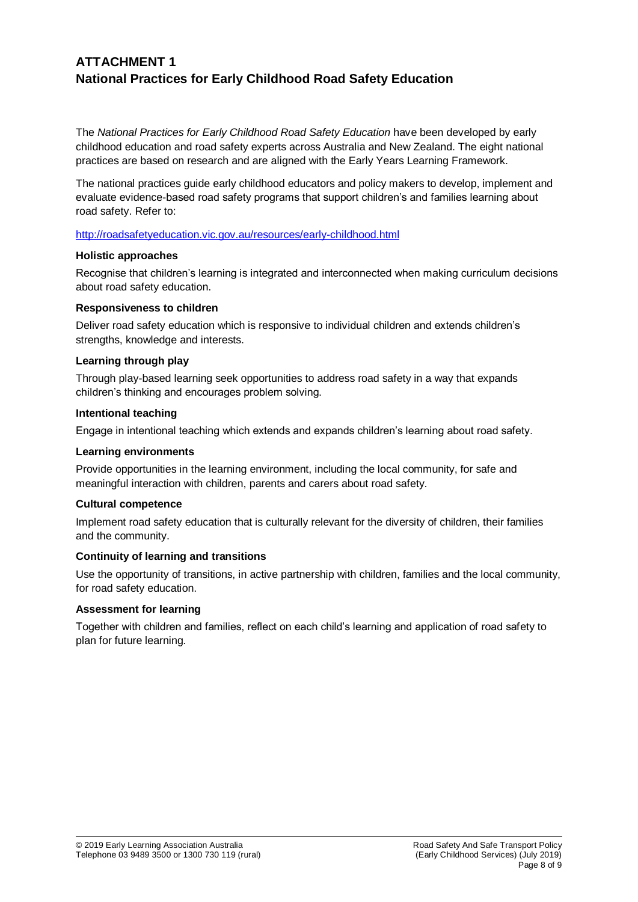# **ATTACHMENT 1 National Practices for Early Childhood Road Safety Education**

The *National Practices for Early Childhood Road Safety Education* have been developed by early childhood education and road safety experts across Australia and New Zealand. The eight national practices are based on research and are aligned with the Early Years Learning Framework.

The national practices guide early childhood educators and policy makers to develop, implement and evaluate evidence-based road safety programs that support children's and families learning about road safety. Refer to:

<http://roadsafetyeducation.vic.gov.au/resources/early-childhood.html>

#### **Holistic approaches**

Recognise that children's learning is integrated and interconnected when making curriculum decisions about road safety education.

#### **Responsiveness to children**

Deliver road safety education which is responsive to individual children and extends children's strengths, knowledge and interests.

#### **Learning through play**

Through play-based learning seek opportunities to address road safety in a way that expands children's thinking and encourages problem solving.

#### **Intentional teaching**

Engage in intentional teaching which extends and expands children's learning about road safety.

#### **Learning environments**

Provide opportunities in the learning environment, including the local community, for safe and meaningful interaction with children, parents and carers about road safety.

### **Cultural competence**

Implement road safety education that is culturally relevant for the diversity of children, their families and the community.

### **Continuity of learning and transitions**

Use the opportunity of transitions, in active partnership with children, families and the local community, for road safety education.

#### **Assessment for learning**

Together with children and families, reflect on each child's learning and application of road safety to plan for future learning.